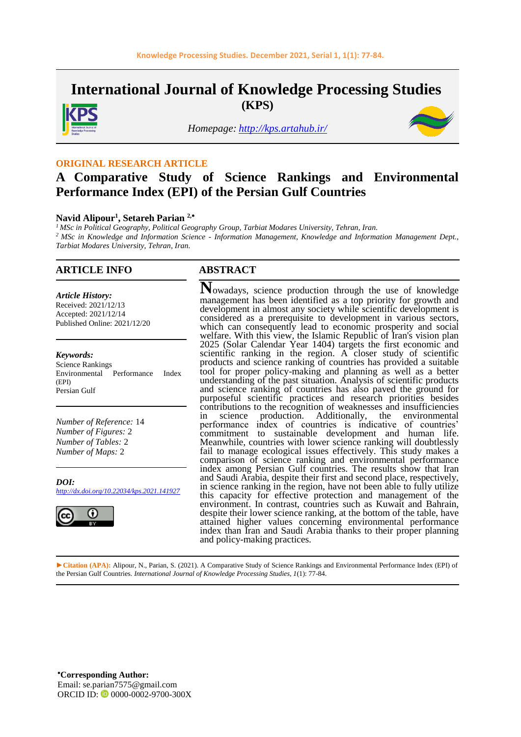**International Journal of Knowledge Processing Studies (KPS)**



*Homepage: <http://kps.artahub.ir/>*



#### **ORIGINAL RESEARCH ARTICLE**

# **A Comparative Study of Science Rankings and Environmental Performance Index (EPI) of the Persian Gulf Countries**

#### **Navid Alipour<sup>1</sup> , Setareh Parian 2,**

*<sup>1</sup> MSc in Political Geography, Political Geography Group, Tarbiat Modares University, Tehran, Iran. <sup>2</sup> MSc in Knowledge and Information Science - Information Management, Knowledge and Information Management Dept., Tarbiat Modares University, Tehran, Iran.*

#### **ARTICLE INFO ABSTRACT**

*Article History:* Received: 2021/12/13 Accepted: 2021/12/14 Published Online: 2021/12/20

#### *Keywords:*

Science Rankings Environmental Performance Index (EPI) Persian Gulf

*Number of Reference:* 14 *Number of Figures:* 2 *Number of Tables:* 2 *Number of Maps:* 2

*DOI: http://dx.doi.org/10.22034/kps.2021.141927*



**N**owadays, science production through the use of knowledge management has been identified as a top priority for growth and development in almost any society while scientific development is considered as a prerequisite to development in various sectors, which can consequently lead to economic prosperity and social welfare. With this view, the Islamic Republic of Iran's vision plan 2025 (Solar Calendar Year 1404) targets the first economic and scientific ranking in the region. A closer study of scientific products and science ranking of countries has provided a suitable tool for proper policy-making and planning as well as a better understanding of the past situation. Analysis of scientific products and science ranking of countries has also paved the ground for purposeful scientific practices and research priorities besides contributions to the recognition of weaknesses and insufficiencies in science production. Additionally, the environmental performance index of countries is indicative of countries' commitment to sustainable development and human life. Meanwhile, countries with lower science ranking will doubtlessly fail to manage ecological issues effectively. This study makes a comparison of science ranking and environmental performance index among Persian Gulf countries. The results show that Iran and Saudi Arabia, despite their first and second place, respectively, in science ranking in the region, have not been able to fully utilize this capacity for effective protection and management of the environment. In contrast, countries such as Kuwait and Bahrain, despite their lower science ranking, at the bottom of the table, have attained higher values concerning environmental performance index than Iran and Saudi Arabia thanks to their proper planning and policy-making practices.

**►Citation (APA):** Alipour, N., Parian, S. (2021). A Comparative Study of Science Rankings and Environmental Performance Index (EPI) of the Persian Gulf Countries. *International Journal of Knowledge Processing Studies, 1*(1): 77-84.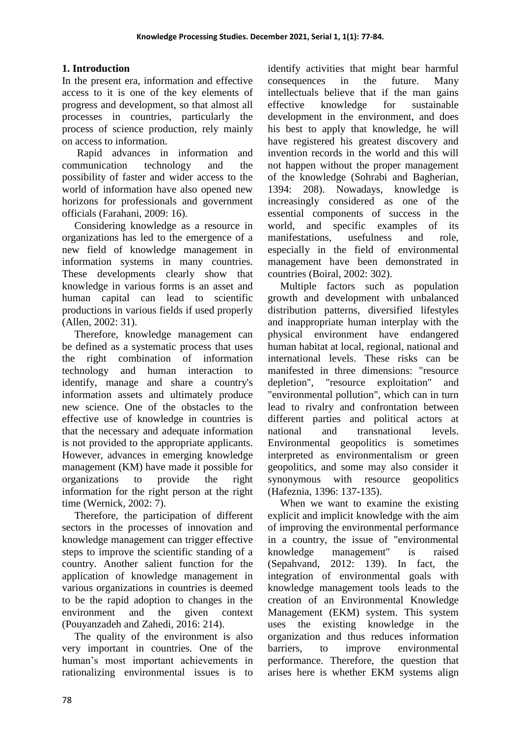# **1. Introduction**

In the present era, information and effective access to it is one of the key elements of progress and development, so that almost all processes in countries, particularly the process of science production, rely mainly on access to information.

Rapid advances in information and communication technology and the possibility of faster and wider access to the world of information have also opened new horizons for professionals and government officials (Farahani, 2009: 16).

Considering knowledge as a resource in organizations has led to the emergence of a new field of knowledge management in information systems in many countries. These developments clearly show that knowledge in various forms is an asset and human capital can lead to scientific productions in various fields if used properly (Allen, 2002: 31).

Therefore, knowledge management can be defined as a systematic process that uses the right combination of information technology and human interaction to identify, manage and share a country's information assets and ultimately produce new science. One of the obstacles to the effective use of knowledge in countries is that the necessary and adequate information is not provided to the appropriate applicants. However, advances in emerging knowledge management (KM) have made it possible for organizations to provide the right information for the right person at the right time (Wernick, 2002: 7).

Therefore, the participation of different sectors in the processes of innovation and knowledge management can trigger effective steps to improve the scientific standing of a country. Another salient function for the application of knowledge management in various organizations in countries is deemed to be the rapid adoption to changes in the environment and the given context (Pouyanzadeh and Zahedi, 2016: 214).

The quality of the environment is also very important in countries. One of the human's most important achievements in rationalizing environmental issues is to identify activities that might bear harmful consequences in the future. Many intellectuals believe that if the man gains effective knowledge for sustainable development in the environment, and does his best to apply that knowledge, he will have registered his greatest discovery and invention records in the world and this will not happen without the proper management of the knowledge (Sohrabi and Bagherian, 1394: 208). Nowadays, knowledge is increasingly considered as one of the essential components of success in the world, and specific examples of its manifestations, usefulness and role, especially in the field of environmental management have been demonstrated in countries (Boiral, 2002: 302).

Multiple factors such as population growth and development with unbalanced distribution patterns, diversified lifestyles and inappropriate human interplay with the physical environment have endangered human habitat at local, regional, national and international levels. These risks can be manifested in three dimensions: "resource depletion", "resource exploitation" and "environmental pollution", which can in turn lead to rivalry and confrontation between different parties and political actors at national and transnational levels. Environmental geopolitics is sometimes interpreted as environmentalism or green geopolitics, and some may also consider it synonymous with resource geopolitics (Hafeznia, 1396: 137-135).

When we want to examine the existing explicit and implicit knowledge with the aim of improving the environmental performance in a country, the issue of "environmental knowledge management" is raised (Sepahvand, 2012: 139). In fact, the integration of environmental goals with knowledge management tools leads to the creation of an Environmental Knowledge Management (EKM) system. This system uses the existing knowledge in the organization and thus reduces information barriers, to improve environmental performance. Therefore, the question that arises here is whether EKM systems align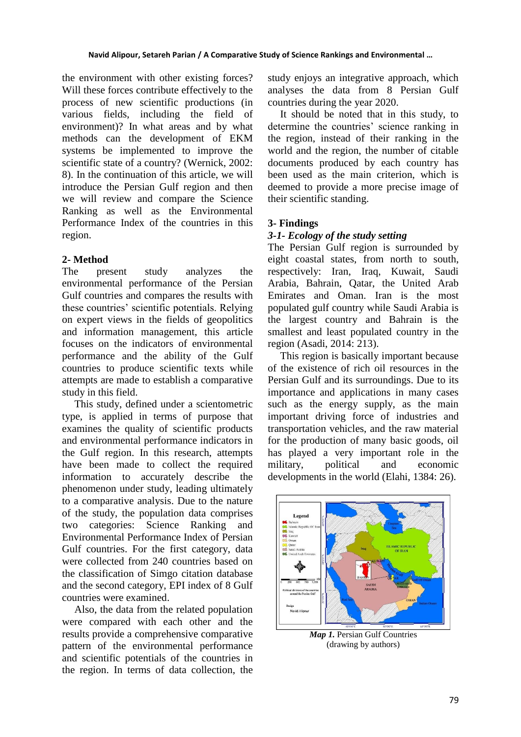the environment with other existing forces? Will these forces contribute effectively to the process of new scientific productions (in various fields, including the field of environment)? In what areas and by what methods can the development of EKM systems be implemented to improve the scientific state of a country? (Wernick, 2002: 8). In the continuation of this article, we will introduce the Persian Gulf region and then we will review and compare the Science Ranking as well as the Environmental Performance Index of the countries in this region.

## **2- Method**

The present study analyzes the environmental performance of the Persian Gulf countries and compares the results with these countries' scientific potentials. Relying on expert views in the fields of geopolitics and information management, this article focuses on the indicators of environmental performance and the ability of the Gulf countries to produce scientific texts while attempts are made to establish a comparative study in this field.

This study, defined under a scientometric type, is applied in terms of purpose that examines the quality of scientific products and environmental performance indicators in the Gulf region. In this research, attempts have been made to collect the required information to accurately describe the phenomenon under study, leading ultimately to a comparative analysis. Due to the nature of the study, the population data comprises two categories: Science Ranking and Environmental Performance Index of Persian Gulf countries. For the first category, data were collected from 240 countries based on the classification of Simgo citation database and the second category, EPI index of 8 Gulf countries were examined.

Also, the data from the related population were compared with each other and the results provide a comprehensive comparative pattern of the environmental performance and scientific potentials of the countries in the region. In terms of data collection, the study enjoys an integrative approach, which analyses the data from 8 Persian Gulf countries during the year 2020.

It should be noted that in this study, to determine the countries' science ranking in the region, instead of their ranking in the world and the region, the number of citable documents produced by each country has been used as the main criterion, which is deemed to provide a more precise image of their scientific standing.

## **3- Findings**

## *3-1- Ecology of the study setting*

The Persian Gulf region is surrounded by eight coastal states, from north to south, respectively: Iran, Iraq, Kuwait, Saudi Arabia, Bahrain, Qatar, the United Arab Emirates and Oman. Iran is the most populated gulf country while Saudi Arabia is the largest country and Bahrain is the smallest and least populated country in the region (Asadi, 2014: 213).

This region is basically important because of the existence of rich oil resources in the Persian Gulf and its surroundings. Due to its importance and applications in many cases such as the energy supply, as the main important driving force of industries and transportation vehicles, and the raw material for the production of many basic goods, oil has played a very important role in the military, political and economic developments in the world (Elahi, 1384: 26).



*Map 1.* Persian Gulf Countries (drawing by authors)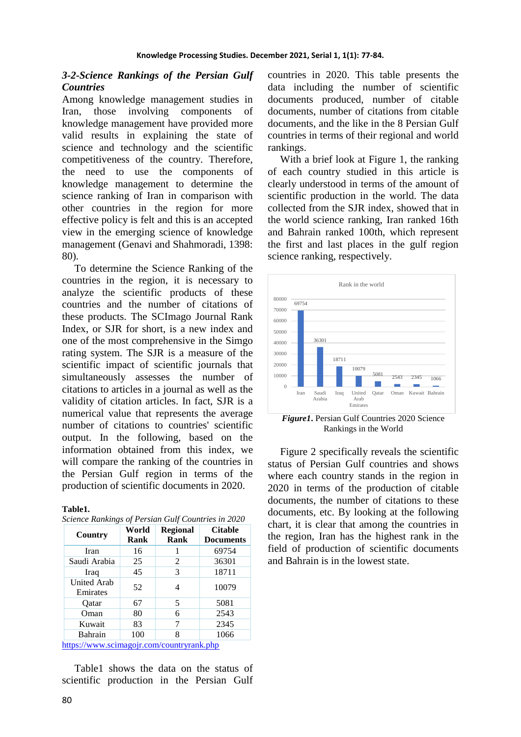#### *3-2-Science Rankings of the Persian Gulf Countries*

Among knowledge management studies in Iran, those involving components of knowledge management have provided more valid results in explaining the state of science and technology and the scientific competitiveness of the country. Therefore, the need to use the components of knowledge management to determine the science ranking of Iran in comparison with other countries in the region for more effective policy is felt and this is an accepted view in the emerging science of knowledge management (Genavi and Shahmoradi, 1398: 80).

To determine the Science Ranking of the countries in the region, it is necessary to analyze the scientific products of these countries and the number of citations of these products. The SCImago Journal Rank Index, or SJR for short, is a new index and one of the most comprehensive in the Simgo rating system. The SJR is a measure of the scientific impact of scientific journals that simultaneously assesses the number of citations to articles in a journal as well as the validity of citation articles. In fact, SJR is a numerical value that represents the average number of citations to countries' scientific output. In the following, based on the information obtained from this index, we will compare the ranking of the countries in the Persian Gulf region in terms of the production of scientific documents in 2020.

| Country                                   | World | <b>Regional</b> | <b>Citable</b>   |
|-------------------------------------------|-------|-----------------|------------------|
|                                           | Rank  | Rank            | <b>Documents</b> |
| Iran                                      | 16    |                 | 69754            |
| Saudi Arabia                              | 25    | 2               | 36301            |
| Iraq                                      | 45    | 3               | 18711            |
| <b>United Arab</b><br>Emirates            | 52    | 4               | 10079            |
| Oatar                                     | 67    | 5               | 5081             |
| Oman                                      | 80    | 6               | 2543             |
| Kuwait                                    | 83    | 7               | 2345             |
| <b>Bahrain</b>                            | 100   | 8               | 1066             |
| https://www.scimagojr.com/countryrank.php |       |                 |                  |

*Science Rankings of Persian Gulf Countries in 2020*

Table1 shows the data on the status of scientific production in the Persian Gulf countries in 2020. This table presents the data including the number of scientific documents produced, number of citable documents, number of citations from citable documents, and the like in the 8 Persian Gulf countries in terms of their regional and world rankings.

With a brief look at Figure 1, the ranking of each country studied in this article is clearly understood in terms of the amount of scientific production in the world. The data collected from the SJR index, showed that in the world science ranking, Iran ranked 16th and Bahrain ranked 100th, which represent the first and last places in the gulf region science ranking, respectively.



*Figure1***.** Persian Gulf Countries 2020 Science Rankings in the World

Figure 2 specifically reveals the scientific status of Persian Gulf countries and shows where each country stands in the region in 2020 in terms of the production of citable documents, the number of citations to these documents, etc. By looking at the following chart, it is clear that among the countries in the region, Iran has the highest rank in the field of production of scientific documents and Bahrain is in the lowest state.

**Table1.**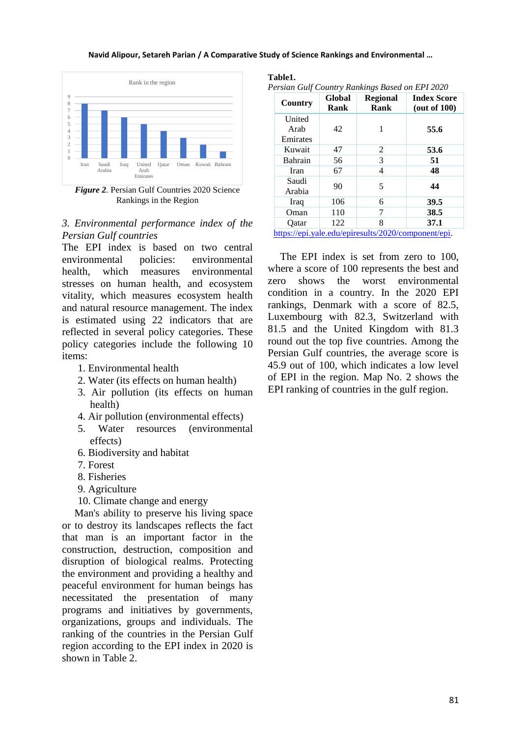#### **Navid Alipour, Setareh Parian / A Comparative Study of Science Rankings and Environmental …**



*Figure 2.* Persian Gulf Countries 2020 Science Rankings in the Region

### *3. Environmental performance index of the Persian Gulf countries*

The EPI index is based on two central environmental policies: environmental health, which measures environmental stresses on human health, and ecosystem vitality, which measures ecosystem health and natural resource management. The index is estimated using 22 indicators that are reflected in several policy categories. These policy categories include the following 10 items:

- 1. Environmental health
- 2. Water (its effects on human health)
- 3. Air pollution (its effects on human health)
- 4. Air pollution (environmental effects)
- 5. Water resources (environmental effects)
- 6. Biodiversity and habitat
- 7. Forest
- 8. Fisheries
- 9. Agriculture
- 10. Climate change and energy

Man's ability to preserve his living space or to destroy its landscapes reflects the fact that man is an important factor in the construction, destruction, composition and disruption of biological realms. Protecting the environment and providing a healthy and peaceful environment for human beings has necessitated the presentation of many programs and initiatives by governments, organizations, groups and individuals. The ranking of the countries in the Persian Gulf region according to the EPI index in 2020 is shown in Table 2.

#### **Table1.**

```
Persian Gulf Country Rankings Based on EPI 2020
```

| Country                    | Global<br>Rank | <b>Regional</b><br>Rank | <b>Index Score</b><br>(out of $100$ ) |
|----------------------------|----------------|-------------------------|---------------------------------------|
| United<br>Arab<br>Emirates | 42             | 1                       | 55.6                                  |
| Kuwait                     | 47             | 2                       | 53.6                                  |
| Bahrain                    | 56             | 3                       | 51                                    |
| Iran                       | 67             | 4                       | 48                                    |
| Saudi<br>Arabia            | 90             | 5                       | 44                                    |
| Iraq                       | 106            | 6                       | 39.5                                  |
| Oman                       | 110            | 7                       | 38.5                                  |
| Oatar                      | 122            | 8                       | 37.1                                  |

[https://epi.yale.edu/epiresults/2020/component/epi.](https://epi.yale.edu/epiresults/2020/component/epi)

The EPI index is set from zero to 100, where a score of 100 represents the best and zero shows the worst environmental condition in a country. In the 2020 EPI rankings, Denmark with a score of 82.5, Luxembourg with 82.3, Switzerland with 81.5 and the United Kingdom with 81.3 round out the top five countries. Among the Persian Gulf countries, the average score is 45.9 out of 100, which indicates a low level of EPI in the region. Map No. 2 shows the EPI ranking of countries in the gulf region.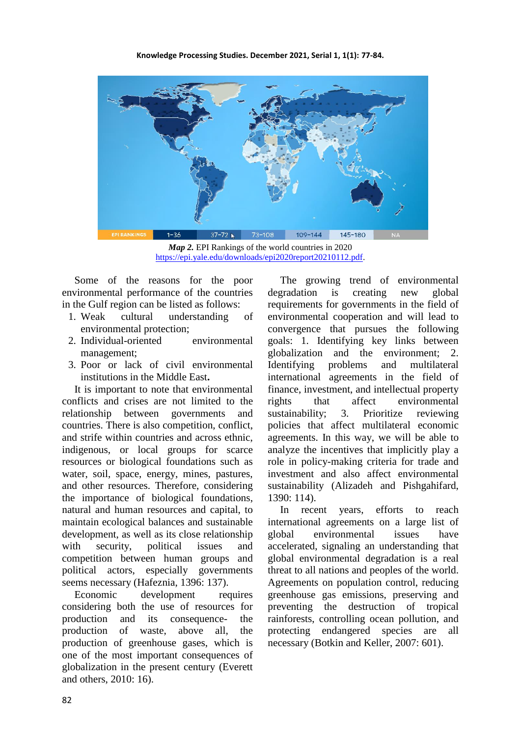

*Map 2.* EPI Rankings of the world countries in 2020 [https://epi.yale.edu/downloads/epi2020report20210112.pdf.](https://epi.yale.edu/downloads/epi2020report20210112.pdf)

Some of the reasons for the poor environmental performance of the countries in the Gulf region can be listed as follows:

- 1. Weak cultural understanding of environmental protection;
- 2. Individual-oriented environmental management;
- 3. Poor or lack of civil environmental institutions in the Middle East**.**

It is important to note that environmental conflicts and crises are not limited to the relationship between governments and countries. There is also competition, conflict, and strife within countries and across ethnic, indigenous, or local groups for scarce resources or biological foundations such as water, soil, space, energy, mines, pastures, and other resources. Therefore, considering the importance of biological foundations, natural and human resources and capital, to maintain ecological balances and sustainable development, as well as its close relationship with security, political issues and competition between human groups and political actors, especially governments seems necessary (Hafeznia, 1396: 137).

Economic development requires considering both the use of resources for production and its consequence- the production of waste, above all, the production of greenhouse gases, which is one of the most important consequences of globalization in the present century (Everett and others, 2010: 16).

The growing trend of environmental degradation is creating new global requirements for governments in the field of environmental cooperation and will lead to convergence that pursues the following goals: 1. Identifying key links between globalization and the environment; 2. Identifying problems and multilateral international agreements in the field of finance, investment, and intellectual property rights that affect environmental sustainability; 3. Prioritize reviewing policies that affect multilateral economic agreements. In this way, we will be able to analyze the incentives that implicitly play a role in policy-making criteria for trade and investment and also affect environmental sustainability (Alizadeh and Pishgahifard, 1390: 114).

In recent years, efforts to reach international agreements on a large list of global environmental issues have accelerated, signaling an understanding that global environmental degradation is a real threat to all nations and peoples of the world. Agreements on population control, reducing greenhouse gas emissions, preserving and preventing the destruction of tropical rainforests, controlling ocean pollution, and protecting endangered species are all necessary (Botkin and Keller, 2007: 601).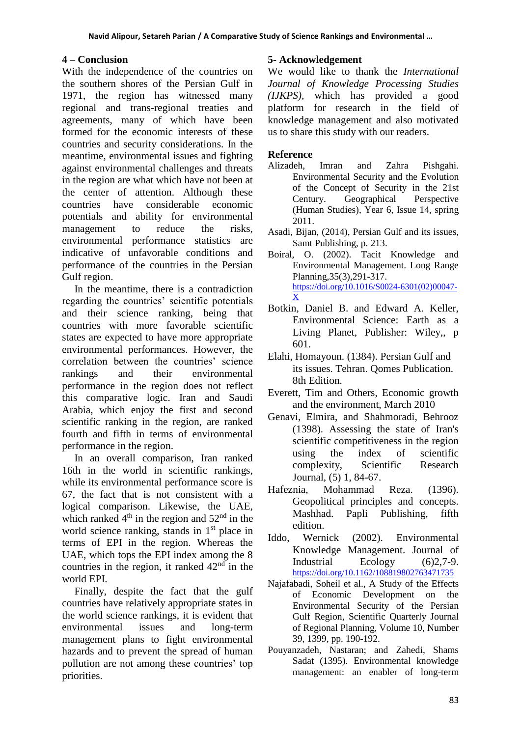# **4 – Conclusion**

With the independence of the countries on the southern shores of the Persian Gulf in 1971, the region has witnessed many regional and trans-regional treaties and agreements, many of which have been formed for the economic interests of these countries and security considerations. In the meantime, environmental issues and fighting against environmental challenges and threats in the region are what which have not been at the center of attention. Although these countries have considerable economic potentials and ability for environmental management to reduce the risks, environmental performance statistics are indicative of unfavorable conditions and performance of the countries in the Persian Gulf region.

In the meantime, there is a contradiction regarding the countries' scientific potentials and their science ranking, being that countries with more favorable scientific states are expected to have more appropriate environmental performances. However, the correlation between the countries' science rankings and their environmental performance in the region does not reflect this comparative logic. Iran and Saudi Arabia, which enjoy the first and second scientific ranking in the region, are ranked fourth and fifth in terms of environmental performance in the region.

In an overall comparison, Iran ranked 16th in the world in scientific rankings, while its environmental performance score is 67, the fact that is not consistent with a logical comparison. Likewise, the UAE, which ranked  $4<sup>th</sup>$  in the region and  $52<sup>nd</sup>$  in the world science ranking, stands in 1<sup>st</sup> place in terms of EPI in the region. Whereas the UAE, which tops the EPI index among the 8 countries in the region, it ranked  $42<sup>nd</sup>$  in the world EPI.

Finally, despite the fact that the gulf countries have relatively appropriate states in the world science rankings, it is evident that environmental issues and long-term management plans to fight environmental hazards and to prevent the spread of human pollution are not among these countries' top priorities.

# **5- Acknowledgement**

We would like to thank the *International Journal of Knowledge Processing Studies (IJKPS),* which has provided a good platform for research in the field of knowledge management and also motivated us to share this study with our readers.

## **Reference**

- Alizadeh, Imran and Zahra Pishgahi. Environmental Security and the Evolution of the Concept of Security in the 21st Century. Geographical Perspective (Human Studies), Year 6, Issue 14, spring 2011.
- Asadi, Bijan, (2014), Persian Gulf and its issues, Samt Publishing, p. 213.
- Boiral, O. (2002). Tacit Knowledge and Environmental Management. Long Range Planning,35(3),291-317. [https://doi.org/10.1016/S0024-6301\(02\)00047-](https://doi.org/10.1016/S0024-6301(02)00047-X) [X](https://doi.org/10.1016/S0024-6301(02)00047-X)
- Botkin, Daniel B. and Edward A. Keller, Environmental Science: Earth as a Living Planet, Publisher: Wiley,, p 601.
- Elahi, Homayoun. (1384). Persian Gulf and its issues. Tehran. Qomes Publication. 8th Edition.
- Everett, Tim and Others, Economic growth and the environment, March 2010
- Genavi, Elmira, and Shahmoradi, Behrooz (1398). Assessing the state of Iran's scientific competitiveness in the region using the index of scientific complexity, Scientific Research Journal, (5) 1, 84-67.
- Hafeznia, Mohammad Reza. (1396). Geopolitical principles and concepts. Mashhad. Papli Publishing, fifth edition.
- Iddo, Wernick (2002). Environmental Knowledge Management. Journal of Industrial Ecology (6)2,7-9. <https://doi.org/10.1162/108819802763471735>
- Najafabadi, Soheil et al., A Study of the Effects of Economic Development on the Environmental Security of the Persian Gulf Region, Scientific Quarterly Journal of Regional Planning, Volume 10, Number 39, 1399, pp. 190-192.
- Pouyanzadeh, Nastaran; and Zahedi, Shams Sadat (1395). Environmental knowledge management: an enabler of long-term